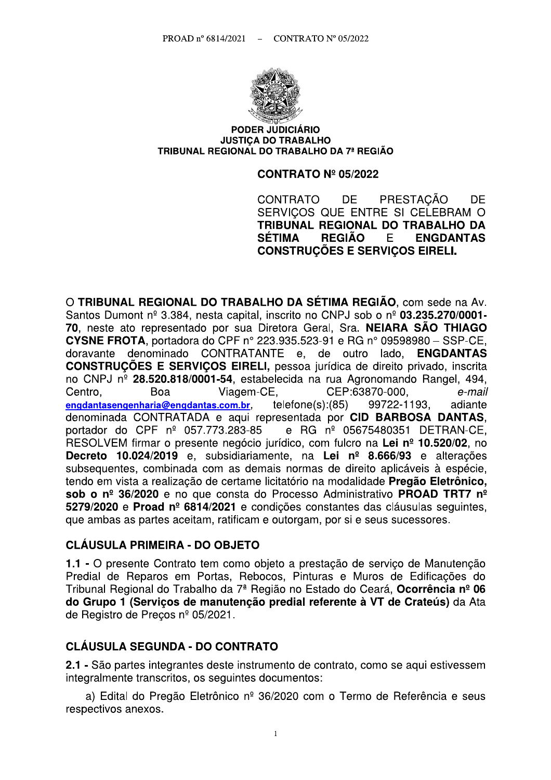

#### **PODER JUDICIÁRIO JUSTICA DO TRABALHO** TRIBUNAL REGIONAL DO TRABALHO DA 7ª REGIÃO

#### **CONTRATO Nº 05/2022**

PRESTACÃO CONTRATO DF. **DF** SERVICOS QUE ENTRE SI CELEBRAM O TRIBUNAL REGIONAL DO TRABALHO DA **SÉTIMA REGIÃO** E. **ENGDANTAS CONSTRUCÕES E SERVICOS EIRELI.** 

O TRIBUNAL REGIONAL DO TRABALHO DA SÉTIMA REGIÃO, com sede na Av. Santos Dumont nº 3.384, nesta capital, inscrito no CNPJ sob o nº 03.235.270/0001-70, neste ato representado por sua Diretora Geral, Sra. NEIARA SÃO THIAGO **CYSNE FROTA.** portadora do CPF nº 223.935.523-91 e RG nº 09598980 - SSP-CE. doravante denominado CONTRATANTE e, de outro lado, **ENGDANTAS CONSTRUÇÕES E SERVIÇOS EIRELI, pessoa jurídica de direito privado, inscrita** no CNPJ nº 28.520.818/0001-54, estabelecida na rua Agronomando Rangel, 494, CEP:63870-000, Centro. Boa Viagem-CE, e-mail  $telfone(s):(85)$ 99722-1193. engdantasengenharia@engdantas.com.br. adiante denominada CONTRATADA e aqui representada por CID BARBOSA DANTAS. portador do CPF nº 057.773.283-85 e RG nº 05675480351 DETRAN-CE, RESOLVEM firmar o presente negócio jurídico, com fulcro na Lei nº 10.520/02, no Decreto 10.024/2019 e, subsidiariamente, na Lei nº 8.666/93 e alterações subsequentes, combinada com as demais normas de direito aplicáveis à espécie, tendo em vista a realização de certame licitatório na modalidade Pregão Eletrônico, sob o nº 36/2020 e no que consta do Processo Administrativo PROAD TRT7 nº 5279/2020 e Proad nº 6814/2021 e condições constantes das cláusulas seguintes. que ambas as partes aceitam, ratificam e outorgam, por si e seus sucessores.

#### **CLÁUSULA PRIMEIRA - DO OBJETO**

1.1 - O presente Contrato tem como obieto a prestação de servico de Manutenção Predial de Reparos em Portas, Rebocos, Pinturas e Muros de Edificações do Tribunal Regional do Trabalho da 7ª Região no Estado do Ceará, Ocorrência nº 06 do Grupo 1 (Servicos de manutenção predial referente à VT de Crateús) da Ata de Registro de Precos nº 05/2021.

### **CLÁUSULA SEGUNDA - DO CONTRATO**

2.1 - São partes integrantes deste instrumento de contrato, como se aqui estivessem integralmente transcritos, os seguintes documentos:

a) Edital do Pregão Eletrônico nº 36/2020 com o Termo de Referência e seus respectivos anexos.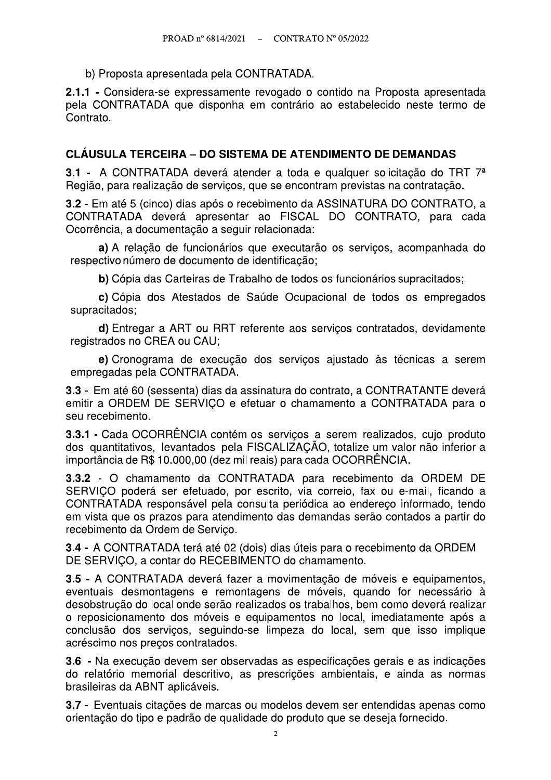b) Proposta apresentada pela CONTRATADA.

2.1.1 - Considera-se expressamente revogado o contido na Proposta apresentada pela CONTRATADA que disponha em contrário ao estabelecido neste termo de Contrato.

### **CLÁUSULA TERCEIRA – DO SISTEMA DE ATENDIMENTO DE DEMANDAS**

3.1 - A CONTRATADA deverá atender a toda e qualquer solicitação do TRT 7<sup>ª</sup> Região, para realização de serviços, que se encontram previstas na contratação.

3.2 - Em até 5 (cinco) dias após o recebimento da ASSINATURA DO CONTRATO, a CONTRATADA deverá apresentar ao FISCAL DO CONTRATO, para cada Ocorrência, a documentação a seguir relacionada:

a) A relação de funcionários que executarão os serviços, acompanhada do respectivo número de documento de identificação;

b) Cópia das Carteiras de Trabalho de todos os funcionários supracitados;

c) Cópia dos Atestados de Saúde Ocupacional de todos os empregados supracitados;

d) Entregar a ART ou RRT referente aos serviços contratados, devidamente registrados no CREA ou CAU:

e) Cronograma de execução dos serviços ajustado às técnicas a serem empregadas pela CONTRATADA.

3.3 - Em até 60 (sessenta) dias da assinatura do contrato, a CONTRATANTE deverá emitir a ORDEM DE SERVICO e efetuar o chamamento a CONTRATADA para o seu recebimento.

3.3.1 - Cada OCORRÊNCIA contém os servicos a serem realizados, cujo produto dos quantitativos, levantados pela FISCALIZAÇÃO, totalize um valor não inferior a importância de R\$ 10.000,00 (dez mil reais) para cada OCORRÊNCIA.

3.3.2 - O chamamento da CONTRATADA para recebimento da ORDEM DE SERVICO poderá ser efetuado, por escrito, via correio, fax ou e-mail, ficando a CONTRATADA responsável pela consulta periódica ao endereco informado, tendo em vista que os prazos para atendimento das demandas serão contados a partir do recebimento da Ordem de Serviço.

3.4 - A CONTRATADA terá até 02 (dois) dias úteis para o recebimento da ORDEM DE SERVIÇO, a contar do RECEBIMENTO do chamamento.

3.5 - A CONTRATADA deverá fazer a movimentação de móveis e equipamentos, eventuais desmontagens e remontagens de móveis, quando for necessário à desobstrução do local onde serão realizados os trabalhos, bem como deverá realizar o reposicionamento dos móveis e equipamentos no local, imediatamente após a conclusão dos serviços, seguindo-se limpeza do local, sem que isso implique acréscimo nos preços contratados.

3.6 - Na execução devem ser observadas as especificações gerais e as indicações do relatório memorial descritivo, as prescrições ambientais, e ainda as normas brasileiras da ABNT aplicáveis.

3.7 - Eventuais citações de marcas ou modelos devem ser entendidas apenas como orientação do tipo e padrão de qualidade do produto que se deseja fornecido.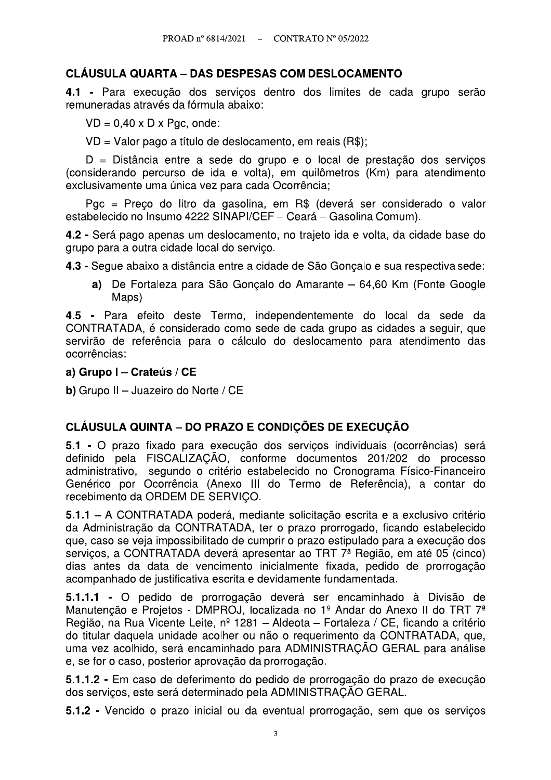## **CLAUSULA QUARTA – DAS DESPESAS COM DESLOCAMENTO**

4.1 - Para execução dos servicos dentro dos limites de cada grupo serão remuneradas através da fórmula abaixo:

 $VD = 0.40 \times D \times Pqc$ , onde:

VD = Valor pago a título de deslocamento, em reais (R\$);

D = Distância entre a sede do grupo e o local de prestação dos serviços (considerando percurso de ida e volta), em quilômetros (Km) para atendimento exclusivamente uma única vez para cada Ocorrência;

Pgc = Preço do litro da gasolina, em R\$ (deverá ser considerado o valor estabelecido no Insumo 4222 SINAPI/CEF - Ceará - Gasolina Comum).

4.2 - Será pago apenas um deslocamento, no trajeto ida e volta, da cidade base do grupo para a outra cidade local do serviço.

4.3 - Segue abaixo a distância entre a cidade de São Gonçalo e sua respectiva sede:

a) De Fortaleza para São Goncalo do Amarante – 64,60 Km (Fonte Google Maps)

4.5 - Para efeito deste Termo, independentemente do local da sede da CONTRATADA, é considerado como sede de cada grupo as cidades a seguir, que servirão de referência para o cálculo do deslocamento para atendimento das ocorrências:

#### a) Grupo I - Crateús / CE

b) Grupo II - Juazeiro do Norte / CE

## **CLÁUSULA QUINTA – DO PRAZO E CONDICÕES DE EXECUCÃO**

5.1 - O prazo fixado para execução dos serviços individuais (ocorrências) será definido pela FISCALIZAÇÃO, conforme documentos 201/202 do processo administrativo, segundo o critério estabelecido no Cronograma Físico-Financeiro Genérico por Ocorrência (Anexo III do Termo de Referência), a contar do recebimento da ORDEM DE SERVIÇO.

5.1.1 – A CONTRATADA poderá, mediante solicitação escrita e a exclusivo critério da Administração da CONTRATADA, ter o prazo prorrogado, ficando estabelecido que, caso se veja impossibilitado de cumprir o prazo estipulado para a execução dos servicos, a CONTRATADA deverá apresentar ao TRT 7<sup>ª</sup> Região, em até 05 (cinco) dias antes da data de vencimento inicialmente fixada, pedido de prorrogação acompanhado de justificativa escrita e devidamente fundamentada.

5.1.1.1 - O pedido de prorrogação deverá ser encaminhado à Divisão de Manutenção e Projetos - DMPROJ, localizada no 1º Andar do Anexo II do TRT 7<sup>ª</sup> Região, na Rua Vicente Leite, nº 1281 - Aldeota - Fortaleza / CE, ficando a critério do titular daquela unidade acolher ou não o requerimento da CONTRATADA, que, uma vez acolhido, será encaminhado para ADMINISTRACÃO GERAL para análise e, se for o caso, posterior aprovação da prorrogação.

5.1.1.2 - Em caso de deferimento do pedido de prorrogação do prazo de execução dos serviços, este será determinado pela ADMINISTRAÇÃO GERAL.

5.1.2 - Vencido o prazo inicial ou da eventual prorrogação, sem que os serviços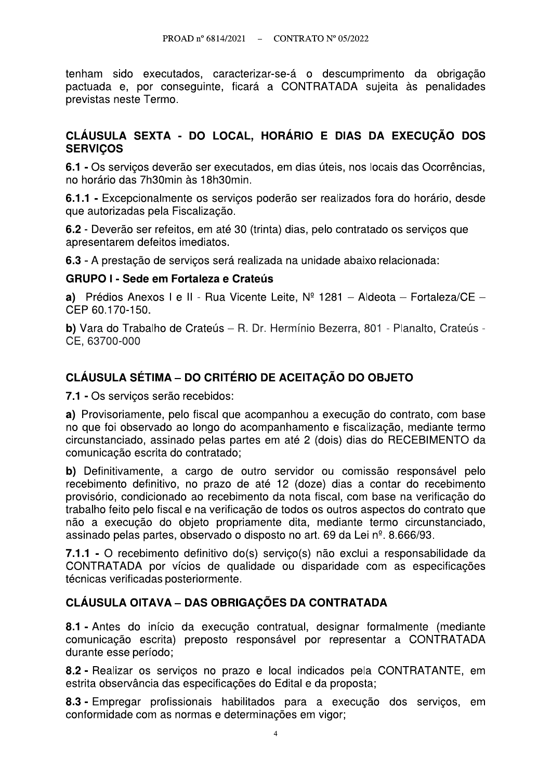tenham sido executados, caracterizar-se-á o descumprimento da obrigação pactuada e, por conseguinte, ficará a CONTRATADA sujeita às penalidades previstas neste Termo.

### CLÁUSULA SEXTA - DO LOCAL, HORÁRIO E DIAS DA EXECUÇÃO DOS **SERVICOS**

6.1 - Os servicos deverão ser executados, em dias úteis, nos locais das Ocorrências, no horário das 7h30min às 18h30min.

6.1.1 - Excepcionalmente os servicos poderão ser realizados fora do horário, desde que autorizadas pela Fiscalização.

6.2 - Deverão ser refeitos, em até 30 (trinta) dias, pelo contratado os serviços que apresentarem defeitos imediatos.

6.3 - A prestação de serviços será realizada na unidade abaixo relacionada:

### **GRUPO I - Sede em Fortaleza e Crateús**

a) Prédios Anexos I e II - Rua Vicente Leite,  $N^{\circ}$  1281 - Aldeota - Fortaleza/CE -CEP 60.170-150.

**b)** Vara do Trabalho de Crateús – R. Dr. Hermínio Bezerra, 801 - Planalto, Crateús -CE. 63700-000

## **CLÁUSULA SÉTIMA – DO CRITÉRIO DE ACEITACÃO DO OBJETO**

7.1 - Os serviços serão recebidos:

a) Provisoriamente, pelo fiscal que acompanhou a execução do contrato, com base no que foi observado ao longo do acompanhamento e fiscalização, mediante termo circunstanciado, assinado pelas partes em até 2 (dois) dias do RECEBIMENTO da comunicação escrita do contratado:

b) Definitivamente, a cargo de outro servidor ou comissão responsável pelo recebimento definitivo, no prazo de até 12 (doze) dias a contar do recebimento provisório, condicionado ao recebimento da nota fiscal, com base na verificação do trabalho feito pelo fiscal e na verificação de todos os outros aspectos do contrato que não a execução do objeto propriamente dita, mediante termo circunstanciado. assinado pelas partes, observado o disposto no art. 69 da Lei nº. 8.666/93.

7.1.1 - O recebimento definitivo do(s) servico(s) não exclui a responsabilidade da CONTRATADA por vícios de qualidade ou disparidade com as especificações técnicas verificadas posteriormente.

### **CLÁUSULA OITAVA – DAS OBRIGAÇÕES DA CONTRATADA**

8.1 - Antes do início da execução contratual, designar formalmente (mediante comunicação escrita) preposto responsável por representar a CONTRATADA durante esse período;

8.2 - Realizar os serviços no prazo e local indicados pela CONTRATANTE, em estrita observância das especificações do Edital e da proposta;

8.3 - Empregar profissionais habilitados para a execução dos serviços, em conformidade com as normas e determinações em vigor;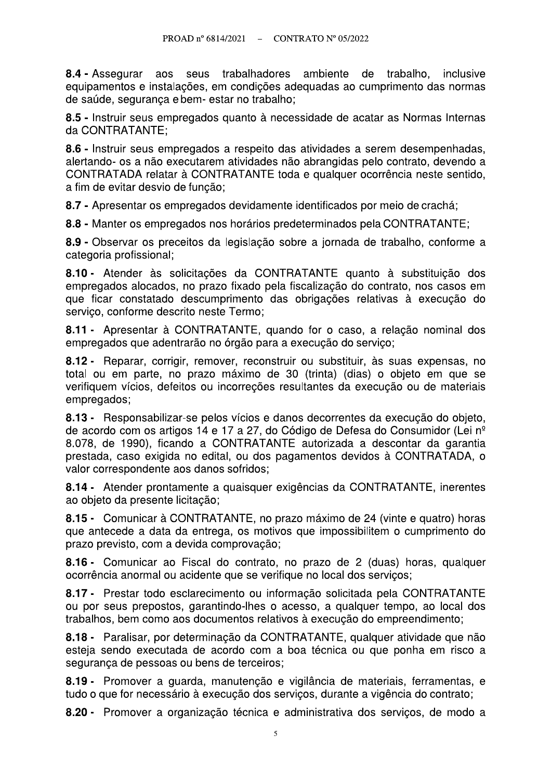8.4 - Assegurar aos seus trabalhadores ambiente de trabalho, inclusive equipamentos e instalações, em condições adequadas ao cumprimento das normas de saúde, segurança e bem- estar no trabalho;

8.5 - Instruir seus empregados quanto à necessidade de acatar as Normas Internas da CONTRATANTE;

8.6 - Instruir seus empregados a respeito das atividades a serem desempenhadas, alertando- os a não executarem atividades não abrangidas pelo contrato, devendo a CONTRATADA relatar à CONTRATANTE toda e qualquer ocorrência neste sentido, a fim de evitar desvio de função;

8.7 - Apresentar os empregados devidamente identificados por meio de crachá:

8.8 - Manter os empregados nos horários predeterminados pela CONTRATANTE;

8.9 - Observar os preceitos da legislação sobre a jornada de trabalho, conforme a categoria profissional;

8.10 - Atender às solicitações da CONTRATANTE quanto à substituição dos empregados alocados, no prazo fixado pela fiscalização do contrato, nos casos em que ficar constatado descumprimento das obrigações relativas à execução do servico, conforme descrito neste Termo;

8.11 - Apresentar à CONTRATANTE, quando for o caso, a relação nominal dos empregados que adentrarão no órgão para a execução do serviço;

8.12 - Reparar, corrigir, remover, reconstruir ou substituir, às suas expensas, no total ou em parte, no prazo máximo de 30 (trinta) (dias) o objeto em que se verifiquem vícios, defeitos ou incorreções resultantes da execução ou de materiais empregados;

8.13 - Responsabilizar-se pelos vícios e danos decorrentes da execução do objeto, de acordo com os artigos 14 e 17 a 27, do Código de Defesa do Consumidor (Lei nº 8.078, de 1990), ficando a CONTRATANTE autorizada a descontar da garantia prestada, caso exigida no edital, ou dos pagamentos devidos à CONTRATADA, o valor correspondente aos danos sofridos;

8.14 - Atender prontamente a quaisquer exigências da CONTRATANTE, inerentes ao objeto da presente licitação;

8.15 - Comunicar à CONTRATANTE, no prazo máximo de 24 (vinte e quatro) horas que antecede a data da entrega, os motivos que impossibilitem o cumprimento do prazo previsto, com a devida comprovação:

8.16 - Comunicar ao Fiscal do contrato, no prazo de 2 (duas) horas, qualquer ocorrência anormal ou acidente que se verifique no local dos servicos;

8.17 - Prestar todo esclarecimento ou informação solicitada pela CONTRATANTE ou por seus prepostos, garantindo-lhes o acesso, a qualquer tempo, ao local dos trabalhos, bem como aos documentos relativos à execução do empreendimento;

8.18 - Paralisar, por determinação da CONTRATANTE, qualquer atividade que não esteja sendo executada de acordo com a boa técnica ou que ponha em risco a segurança de pessoas ou bens de terceiros;

8.19 - Promover a guarda, manutenção e vigilância de materiais, ferramentas, e tudo o que for necessário à execução dos serviços, durante a vigência do contrato;

8.20 - Promover a organização técnica e administrativa dos servicos, de modo a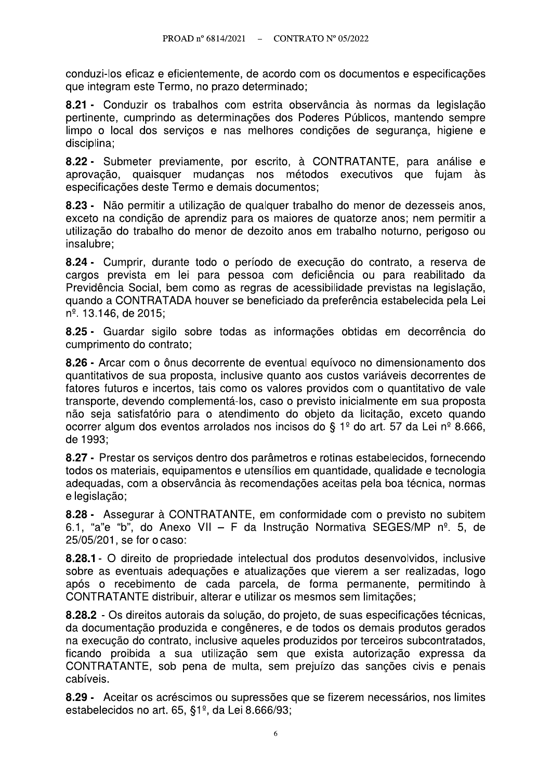conduzi-los eficaz e eficientemente, de acordo com os documentos e especificações que integram este Termo, no prazo determinado;

8.21 - Conduzir os trabalhos com estrita observância às normas da legislação pertinente, cumprindo as determinações dos Poderes Públicos, mantendo sempre limpo o local dos serviços e nas melhores condições de segurança, higiene e disciplina;

8.22 - Submeter previamente, por escrito, à CONTRATANTE, para análise e aprovação, quaisquer mudanças nos métodos executivos que fujam às especificações deste Termo e demais documentos;

8.23 - Não permitir a utilização de qualquer trabalho do menor de dezesseis anos. exceto na condição de aprendiz para os maiores de quatorze anos: nem permitir a utilização do trabalho do menor de dezoito anos em trabalho noturno, perigoso ou insalubre:

8.24 - Cumprir, durante todo o período de execução do contrato, a reserva de cargos prevista em lei para pessoa com deficiência ou para reabilitado da Previdência Social, bem como as regras de acessibilidade previstas na legislação, guando a CONTRATADA houver se beneficiado da preferência estabelecida pela Lei n<sup>o</sup>. 13.146, de 2015;

8.25 - Guardar sigilo sobre todas as informações obtidas em decorrência do cumprimento do contrato:

8.26 - Arcar com o ônus decorrente de eventual equívoco no dimensionamento dos quantitativos de sua proposta, inclusive quanto aos custos variáveis decorrentes de fatores futuros e incertos, tais como os valores providos com o quantitativo de vale transporte, devendo complementá-los, caso o previsto inicialmente em sua proposta não seja satisfatório para o atendimento do objeto da licitação, exceto quando ocorrer algum dos eventos arrolados nos incisos do § 1º do art. 57 da Lei nº 8.666, de 1993;

8.27 - Prestar os serviços dentro dos parâmetros e rotinas estabelecidos, fornecendo todos os materiais, equipamentos e utensílios em quantidade, qualidade e tecnologia adequadas, com a observância às recomendações aceitas pela boa técnica, normas e legislação;

8.28 - Assegurar à CONTRATANTE, em conformidade com o previsto no subitem 6.1. "a"e "b", do Anexo VII - F da Instrução Normativa SEGES/MP nº, 5, de 25/05/201, se for o caso:

8.28.1 - O direito de propriedade intelectual dos produtos desenvolvidos, inclusive sobre as eventuais adequações e atualizações que vierem a ser realizadas, logo após o recebimento de cada parcela, de forma permanente, permitindo à CONTRATANTE distribuir, alterar e utilizar os mesmos sem limitações;

8.28.2 - Os direitos autorais da solução, do projeto, de suas especificações técnicas, da documentação produzida e congêneres, e de todos os demais produtos gerados na execução do contrato, inclusive aqueles produzidos por terceiros subcontratados, ficando proibida a sua utilização sem que exista autorização expressa da CONTRATANTE, sob pena de multa, sem prejuízo das sanções civis e penais cabíveis.

8.29 - Aceitar os acréscimos ou supressões que se fizerem necessários, nos limites estabelecidos no art. 65, §1<sup>°</sup>, da Lei 8.666/93;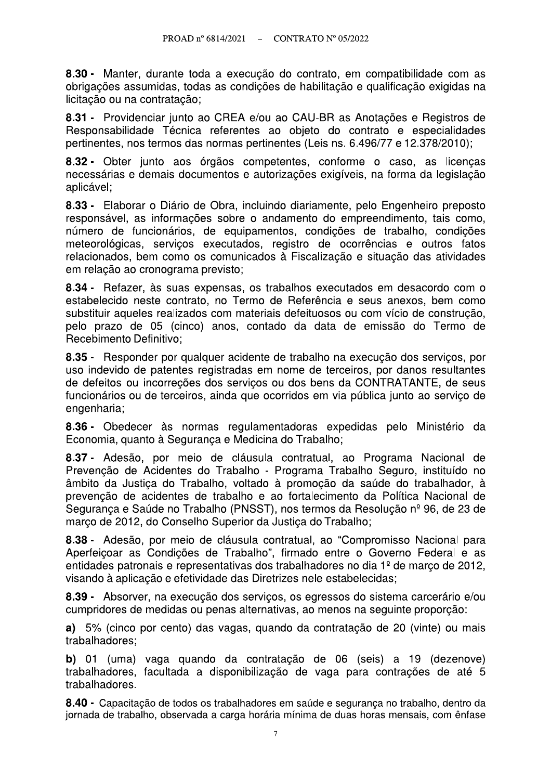8.30 - Manter, durante toda a execução do contrato, em compatibilidade com as obrigações assumidas, todas as condições de habilitação e qualificação exigidas na licitação ou na contratação:

8.31 - Providenciar junto ao CREA e/ou ao CAU-BR as Anotações e Registros de Responsabilidade Técnica referentes ao objeto do contrato e especialidades pertinentes, nos termos das normas pertinentes (Leis ns. 6.496/77 e 12.378/2010);

8.32 - Obter junto aos órgãos competentes, conforme o caso, as licenças necessárias e demais documentos e autorizações exigíveis, na forma da legislação aplicável;

8.33 - Elaborar o Diário de Obra, incluindo diariamente, pelo Engenheiro preposto responsável, as informações sobre o andamento do empreendimento, tais como, número de funcionários, de equipamentos, condições de trabalho, condições meteorológicas, serviços executados, registro de ocorrências e outros fatos relacionados, bem como os comunicados à Fiscalização e situação das atividades em relação ao cronograma previsto;

8.34 - Refazer, às suas expensas, os trabalhos executados em desacordo com o estabelecido neste contrato, no Termo de Referência e seus anexos, bem como substituir aqueles realizados com materiais defeituosos ou com vício de construção. pelo prazo de 05 (cinco) anos, contado da data de emissão do Termo de Recebimento Definitivo:

8.35 - Responder por qualquer acidente de trabalho na execução dos serviços, por uso indevido de patentes registradas em nome de terceiros, por danos resultantes de defeitos ou incorreções dos serviços ou dos bens da CONTRATANTE, de seus funcionários ou de terceiros, ainda que ocorridos em via pública junto ao serviço de engenharia;

8.36 - Obedecer às normas regulamentadoras expedidas pelo Ministério da Economia, quanto à Seguranca e Medicina do Trabalho;

8.37 - Adesão, por meio de cláusula contratual, ao Programa Nacional de Prevenção de Acidentes do Trabalho - Programa Trabalho Seguro, instituído no âmbito da Justica do Trabalho, voltado à promoção da saúde do trabalhador, à prevenção de acidentes de trabalho e ao fortalecimento da Política Nacional de Segurança e Saúde no Trabalho (PNSST), nos termos da Resolução nº 96, de 23 de março de 2012, do Conselho Superior da Justiça do Trabalho;

8.38 - Adesão, por meio de cláusula contratual, ao "Compromisso Nacional para Aperfeicoar as Condições de Trabalho", firmado entre o Governo Federal e as entidades patronais e representativas dos trabalhadores no dia 1<sup>º</sup> de marco de 2012. visando à aplicação e efetividade das Diretrizes nele estabelecidas;

8.39 - Absorver, na execução dos serviços, os egressos do sistema carcerário e/ou cumpridores de medidas ou penas alternativas, ao menos na seguinte proporção:

a) 5% (cinco por cento) das vagas, quando da contratação de 20 (vinte) ou mais trabalhadores;

b) 01 (uma) vaga guando da contratação de 06 (seis) a 19 (dezenove) trabalhadores, facultada a disponibilização de vaga para contrações de até 5 trabalhadores.

8.40 - Capacitação de todos os trabalhadores em saúde e segurança no trabalho, dentro da jornada de trabalho, observada a carga horária mínima de duas horas mensais, com ênfase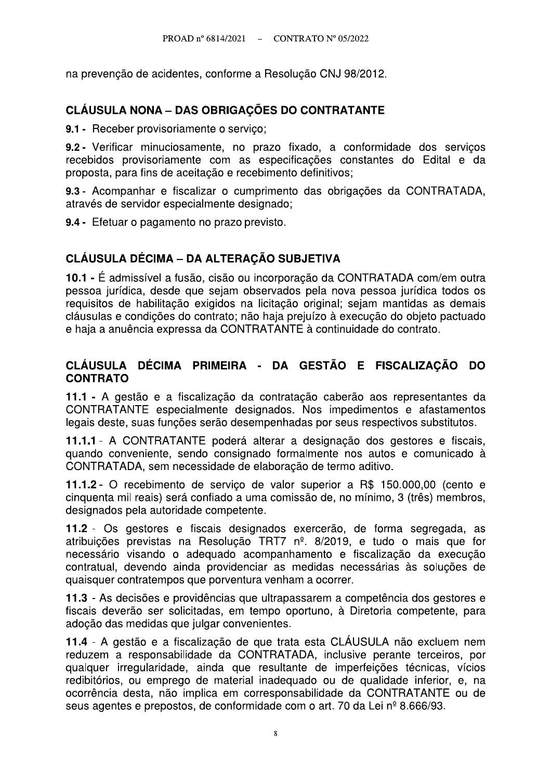na prevenção de acidentes, conforme a Resolução CNJ 98/2012.

## **CLÁUSULA NONA - DAS OBRIGAÇÕES DO CONTRATANTE**

9.1 - Receber provisoriamente o servico;

9.2 - Verificar minuciosamente, no prazo fixado, a conformidade dos serviços recebidos provisoriamente com as especificações constantes do Edital e da proposta, para fins de aceitação e recebimento definitivos;

9.3 - Acompanhar e fiscalizar o cumprimento das obrigações da CONTRATADA. através de servidor especialmente designado;

9.4 - Efetuar o pagamento no prazo previsto.

## **CLÁUSULA DÉCIMA – DA ALTERAÇÃO SUBJETIVA**

10.1 - É admissível a fusão, cisão ou incorporação da CONTRATADA com/em outra pessoa jurídica, desde que sejam observados pela nova pessoa jurídica todos os requisitos de habilitação exigidos na licitação original: sejam mantidas as demais cláusulas e condições do contrato; não haja prejuízo à execução do objeto pactuado e haja a anuência expressa da CONTRATANTE à continuidade do contrato.

### CLÁUSULA DÉCIMA PRIMEIRA - DA GESTÃO E FISCALIZAÇÃO DO **CONTRATO**

11.1 - A gestão e a fiscalização da contratação caberão aos representantes da CONTRATANTE especialmente designados. Nos impedimentos e afastamentos legais deste, suas funções serão desempenhadas por seus respectivos substitutos.

11.1.1 - A CONTRATANTE poderá alterar a designação dos gestores e fiscais, quando conveniente, sendo consignado formalmente nos autos e comunicado à CONTRATADA, sem necessidade de elaboração de termo aditivo.

11.1.2 - O recebimento de serviço de valor superior a R\$ 150.000,00 (cento e cinquenta mil reais) será confiado a uma comissão de, no mínimo, 3 (três) membros, designados pela autoridade competente.

11.2 - Os gestores e fiscais designados exercerão, de forma segregada, as atribuições previstas na Resolução TRT7 nº. 8/2019, e tudo o mais que for necessário visando o adeguado acompanhamento e fiscalização da execução contratual, devendo ainda providenciar as medidas necessárias às soluções de quaisquer contratempos que porventura venham a ocorrer.

11.3 - As decisões e providências que ultrapassarem a competência dos gestores e fiscais deverão ser solicitadas, em tempo oportuno, à Diretoria competente, para adocão das medidas que julgar convenientes.

11.4 - A gestão e a fiscalização de que trata esta CLÁUSULA não excluem nem reduzem a responsabilidade da CONTRATADA, inclusive perante terceiros, por qualquer irreqularidade, ainda que resultante de imperfeições técnicas, vícios redibitórios, ou emprego de material inadeguado ou de qualidade inferior, e, na ocorrência desta, não implica em corresponsabilidade da CONTRATANTE ou de seus agentes e prepostos, de conformidade com o art. 70 da Lei nº 8.666/93.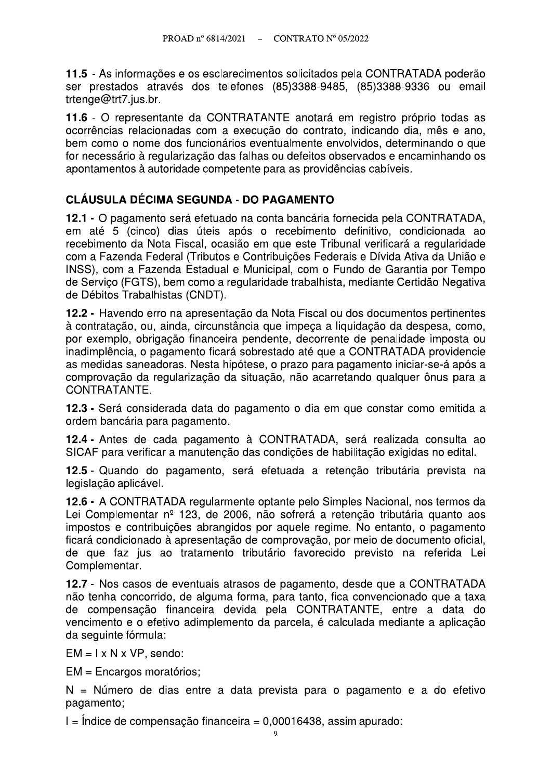11.5 - As informações e os esclarecimentos solicitados pela CONTRATADA poderão ser prestados através dos telefones (85)3388-9485, (85)3388-9336 ou email trtenge@trt7.jus.br.

11.6 - O representante da CONTRATANTE anotará em registro próprio todas as ocorrências relacionadas com a execução do contrato, indicando dia, mês e ano, bem como o nome dos funcionários eventualmente envolvidos, determinando o que for necessário à regularização das falhas ou defeitos observados e encaminhando os apontamentos à autoridade competente para as providências cabíveis.

## CLÁUSULA DÉCIMA SEGUNDA - DO PAGAMENTO

12.1 - O pagamento será efetuado na conta bancária fornecida pela CONTRATADA. em até 5 (cinco) dias úteis após o recebimento definitivo, condicionada ao recebimento da Nota Fiscal, ocasião em que este Tribunal verificará a regularidade com a Fazenda Federal (Tributos e Contribuições Federais e Dívida Ativa da União e INSS), com a Fazenda Estadual e Municipal, com o Fundo de Garantia por Tempo de Serviço (FGTS), bem como a regularidade trabalhista, mediante Certidão Negativa de Débitos Trabalhistas (CNDT).

12.2 - Havendo erro na apresentação da Nota Fiscal ou dos documentos pertinentes à contratação, ou, ainda, circunstância que impeca a liquidação da despesa, como, por exemplo, obrigação financeira pendente, decorrente de penalidade imposta ou inadimplência, o pagamento ficará sobrestado até que a CONTRATADA providencie as medidas saneadoras. Nesta hipótese, o prazo para pagamento iniciar-se-á após a comprovação da regularização da situação, não acarretando qualquer ônus para a CONTRATANTE.

12.3 - Será considerada data do pagamento o dia em que constar como emitida a ordem bancária para pagamento.

12.4 - Antes de cada pagamento à CONTRATADA, será realizada consulta ao SICAF para verificar a manutenção das condições de habilitação exigidas no edital.

12.5 - Quando do pagamento, será efetuada a retenção tributária prevista na legislacão aplicável.

12.6 - A CONTRATADA regularmente optante pelo Simples Nacional, nos termos da Lei Complementar nº 123, de 2006, não sofrerá a retenção tributária quanto aos impostos e contribuições abrangidos por aquele regime. No entanto, o pagamento ficará condicionado à apresentação de comprovação, por meio de documento oficial, de que faz jus ao tratamento tributário favorecido previsto na referida Lei Complementar.

12.7 - Nos casos de eventuais atrasos de pagamento, desde que a CONTRATADA não tenha concorrido, de alguma forma, para tanto, fica convencionado que a taxa de compensação financeira devida pela CONTRATANTE, entre a data do vencimento e o efetivo adimplemento da parcela, é calculada mediante a aplicação da seguinte fórmula:

 $EM = I \times N \times VP$ , sendo:

EM = Encargos moratórios;

N = Número de dias entre a data prevista para o pagamento e a do efetivo pagamento;

 $I =$ Índice de compensação financeira = 0,00016438, assim apurado: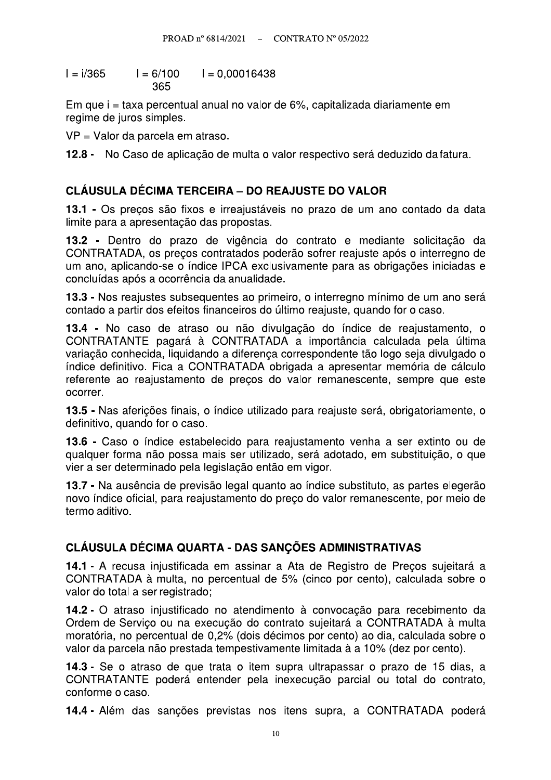$I = i/365$  $I = 6/100$  $I = 0,00016438$ 365

Em que i = taxa percentual anual no valor de 6%, capitalizada diariamente em regime de juros simples.

VP = Valor da parcela em atraso.

12.8 - No Caso de aplicação de multa o valor respectivo será deduzido da fatura.

## **CLÁUSULA DÉCIMA TERCEIRA – DO REAJUSTE DO VALOR**

13.1 - Os precos são fixos e irreajustáveis no prazo de um ano contado da data limite para a apresentação das propostas.

13.2 - Dentro do prazo de vigência do contrato e mediante solicitação da CONTRATADA, os preços contratados poderão sofrer reajuste após o interregno de um ano, aplicando-se o índice IPCA exclusivamente para as obrigações iniciadas e concluídas após a ocorrência da anualidade.

13.3 - Nos reajustes subsequentes ao primeiro, o interregno mínimo de um ano será contado a partir dos efeitos financeiros do último reajuste, quando for o caso.

13.4 - No caso de atraso ou não divulgação do índice de reajustamento, o CONTRATANTE pagará à CONTRATADA a importância calculada pela última variação conhecida. liquidando a diferença correspondente tão logo seja divulgado o índice definitivo. Fica a CONTRATADA obrigada a apresentar memória de cálculo referente ao reajustamento de preços do valor remanescente, sempre que este ocorrer.

13.5 - Nas aferições finais, o índice utilizado para reajuste será, obrigatoriamente, o definitivo, quando for o caso.

13.6 - Caso o índice estabelecido para reajustamento venha a ser extinto ou de qualquer forma não possa mais ser utilizado, será adotado, em substituição, o que vier a ser determinado pela legislação então em vigor.

13.7 - Na ausência de previsão legal quanto ao índice substituto, as partes elegerão novo índice oficial, para reajustamento do preco do valor remanescente, por meio de termo aditivo.

### CLÁUSULA DÉCIMA QUARTA - DAS SANCÕES ADMINISTRATIVAS

14.1 - A recusa iniustificada em assinar a Ata de Registro de Precos sujeitará a CONTRATADA à multa, no percentual de 5% (cinco por cento), calculada sobre o valor do total a ser registrado;

14.2 - O atraso injustificado no atendimento à convocação para recebimento da Ordem de Serviço ou na execução do contrato sujeitará a CONTRATADA à multa moratória, no percentual de 0,2% (dois décimos por cento) ao dia, calculada sobre o valor da parcela não prestada tempestivamente limitada à a 10% (dez por cento).

14.3 - Se o atraso de que trata o item supra ultrapassar o prazo de 15 dias, a CONTRATANTE poderá entender pela inexecução parcial ou total do contrato, conforme o caso.

14.4 - Além das sanções previstas nos itens supra, a CONTRATADA poderá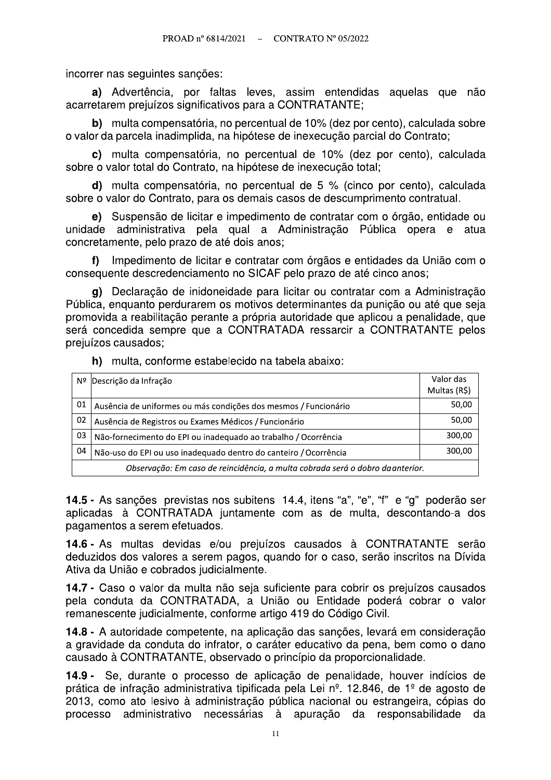incorrer nas seguintes sanções:

a) Advertência, por faltas leves, assim entendidas aquelas que não acarretarem prejuízos significativos para a CONTRATANTE;

b) multa compensatória, no percentual de 10% (dez por cento), calculada sobre o valor da parcela inadimplida, na hipótese de inexecução parcial do Contrato;

c) multa compensatória, no percentual de 10% (dez por cento), calculada sobre o valor total do Contrato, na hipótese de inexecução total;

d) multa compensatória, no percentual de 5 % (cinco por cento), calculada sobre o valor do Contrato, para os demais casos de descumprimento contratual.

e) Suspensão de licitar e impedimento de contratar com o órgão, entidade ou unidade administrativa pela qual a Administração Pública opera e atua concretamente, pelo prazo de até dois anos;

Impedimento de licitar e contratar com órgãos e entidades da União com o  $f$ consequente descredenciamento no SICAF pelo prazo de até cinco anos:

g) Declaração de inidoneidade para licitar ou contratar com a Administração Pública, enguanto perdurarem os motivos determinantes da punição ou até que seja promovida a reabilitação perante a própria autoridade que aplicou a penalidade, que será concedida sempre que a CONTRATADA ressarcir a CONTRATANTE pelos preiuízos causados:

h) multa, conforme estabelecido na tabela abaixo:

| Nº                                                                             | Descrição da Infração                                            | Valor das<br>Multas (R\$) |
|--------------------------------------------------------------------------------|------------------------------------------------------------------|---------------------------|
| 01                                                                             |                                                                  | 50,00                     |
|                                                                                | Ausência de uniformes ou más condições dos mesmos / Funcionário  |                           |
| 02                                                                             | Ausência de Registros ou Exames Médicos / Funcionário            | 50,00                     |
| 03                                                                             | Não-fornecimento do EPI ou inadequado ao trabalho / Ocorrência   | 300,00                    |
| 04                                                                             | Não-uso do EPI ou uso inadequado dentro do canteiro / Ocorrência | 300,00                    |
| Observação: Em caso de reincidência, a multa cobrada será o dobro da anterior. |                                                                  |                           |

14.5 - As sanções previstas nos subitens 14.4, itens "a", "e", "f" e "g" poderão ser aplicadas à CONTRATADA juntamente com as de multa, descontando-a dos pagamentos a serem efetuados.

14.6 - As multas devidas e/ou prejuízos causados à CONTRATANTE serão deduzidos dos valores a serem pagos, quando for o caso, serão inscritos na Dívida Ativa da União e cobrados judicialmente.

14.7 - Caso o valor da multa não seja suficiente para cobrir os prejuízos causados pela conduta da CONTRATADA, a União ou Entidade poderá cobrar o valor remanescente judicialmente, conforme artigo 419 do Código Civil.

14.8 - A autoridade competente, na aplicação das sanções, levará em consideração a gravidade da conduta do infrator, o caráter educativo da pena, bem como o dano causado à CONTRATANTE, observado o princípio da proporcionalidade.

14.9 - Se, durante o processo de aplicação de penalidade, houver indícios de prática de infração administrativa tipificada pela Lei nº. 12.846, de 1º de agosto de 2013, como ato lesivo à administração pública nacional ou estrangeira, cópias do processo administrativo necessárias à apuração da responsabilidade da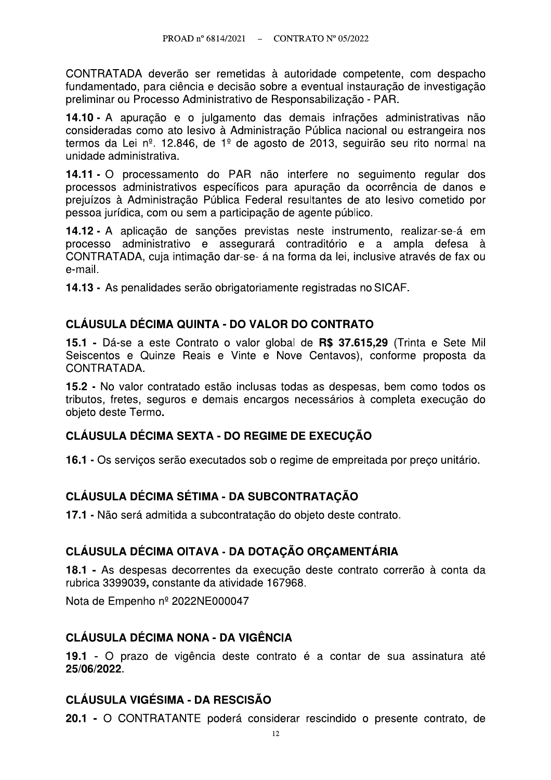CONTRATADA deverão ser remetidas à autoridade competente, com despacho fundamentado, para ciência e decisão sobre a eventual instauração de investigação preliminar ou Processo Administrativo de Responsabilização - PAR.

14.10 - A apuração e o julgamento das demais infrações administrativas não consideradas como ato lesivo à Administração Pública nacional ou estrangeira nos termos da Lei nº. 12.846, de 1º de agosto de 2013, seguirão seu rito normal na unidade administrativa.

14.11 - O processamento do PAR não interfere no seguimento regular dos processos administrativos específicos para apuração da ocorrência de danos e prejuízos à Administração Pública Federal resultantes de ato lesivo cometido por pessoa jurídica, com ou sem a participação de agente público.

14.12 - A aplicação de sanções previstas neste instrumento, realizar-se-á em processo administrativo e assegurará contraditório e a ampla defesa à CONTRATADA, cuja intimação dar-se- á na forma da lei, inclusive através de fax ou e-mail.

14.13 - As penalidades serão obrigatoriamente registradas no SICAF.

## **CLÁUSULA DÉCIMA QUINTA - DO VALOR DO CONTRATO**

15.1 - Dá-se a este Contrato o valor global de R\$ 37.615,29 (Trinta e Sete Mil Seiscentos e Quinze Reais e Vinte e Nove Centavos), conforme proposta da CONTRATADA.

15.2 - No valor contratado estão inclusas todas as despesas, bem como todos os tributos, fretes, seguros e demais encargos necessários à completa execução do obieto deste Termo.

## CLÁUSULA DÉCIMA SEXTA - DO REGIME DE EXECUÇÃO

16.1 - Os servicos serão executados sob o regime de empreitada por preco unitário.

## **CLÁUSULA DÉCIMA SÉTIMA - DA SUBCONTRATAÇÃO**

17.1 - Não será admitida a subcontratação do objeto deste contrato.

## CLÁUSULA DÉCIMA OITAVA - DA DOTAÇÃO ORÇAMENTÁRIA

18.1 - As despesas decorrentes da execução deste contrato correrão à conta da rubrica 3399039, constante da atividade 167968.

Nota de Empenho nº 2022NE000047

## CLÁUSULA DÉCIMA NONA - DA VIGÊNCIA

19.1 - O prazo de vigência deste contrato é a contar de sua assinatura até 25/06/2022.

## **CLÁUSULA VIGÉSIMA - DA RESCISÃO**

20.1 - O CONTRATANTE poderá considerar rescindido o presente contrato, de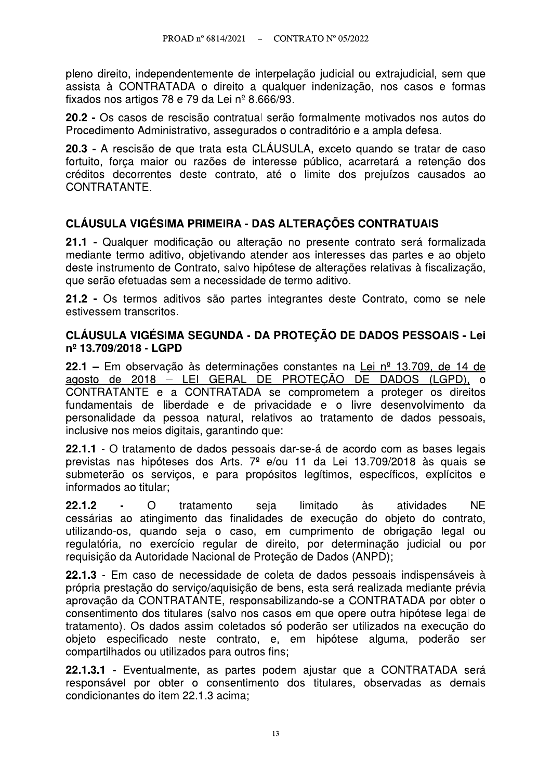pleno direito, independentemente de interpelação judicial ou extrajudicial, sem que assista à CONTRATADA o direito a qualquer indenização, nos casos e formas fixados nos artigos 78 e 79 da Lei nº 8.666/93.

20.2 - Os casos de rescisão contratual serão formalmente motivados nos autos do Procedimento Administrativo, assegurados o contraditório e a ampla defesa.

20.3 - A rescisão de que trata esta CLÁUSULA, exceto quando se tratar de caso fortuito, força maior ou razões de interesse público, acarretará a retenção dos créditos decorrentes deste contrato, até o limite dos prejuízos causados ao CONTRATANTE.

## CLÁUSULA VIGÉSIMA PRIMEIRA - DAS ALTERACÕES CONTRATUAIS

21.1 - Qualquer modificação ou alteração no presente contrato será formalizada mediante termo aditivo, obietivando atender aos interesses das partes e ao obieto deste instrumento de Contrato, salvo hipótese de alterações relativas à fiscalização, que serão efetuadas sem a necessidade de termo aditivo.

21.2 - Os termos aditivos são partes integrantes deste Contrato, como se nele estivessem transcritos.

#### CLÁUSULA VIGÉSIMA SEGUNDA - DA PROTECÃO DE DADOS PESSOAIS - Lei nº 13.709/2018 - LGPD

22.1 – Em observação às determinações constantes na Lei nº 13.709, de 14 de agosto de 2018 – LEI GERAL DE PROTEÇÃO DE DADOS (LGPD), o CONTRATANTE e a CONTRATADA se comprometem a proteger os direitos fundamentais de liberdade e de privacidade e o livre desenvolvimento da personalidade da pessoa natural, relativos ao tratamento de dados pessoais, inclusive nos meios digitais, garantindo que:

22.1.1 - O tratamento de dados pessoais dar-se-á de acordo com as bases legais previstas nas hipóteses dos Arts. 7º e/ou 11 da Lei 13.709/2018 às quais se submeterão os serviços, e para propósitos legítimos, específicos, explícitos e informados ao titular;

 $22.1.2$  $\Omega$ limitado atividades **NF** tratamento seja às cessárias ao atingimento das finalidades de execução do objeto do contrato, utilizando-os, quando seja o caso, em cumprimento de obrigação legal ou regulatória, no exercício regular de direito, por determinação iudicial ou por requisição da Autoridade Nacional de Proteção de Dados (ANPD);

22.1.3 - Em caso de necessidade de coleta de dados pessoais indispensáveis à própria prestação do serviço/aquisição de bens, esta será realizada mediante prévia aprovação da CONTRATANTE, responsabilizando-se a CONTRATADA por obter o consentimento dos titulares (salvo nos casos em que opere outra hipótese legal de tratamento). Os dados assim coletados só poderão ser utilizados na execução do objeto especificado neste contrato, e, em hipótese alguma, poderão ser compartilhados ou utilizados para outros fins;

22.1.3.1 - Eventualmente, as partes podem ajustar que a CONTRATADA será responsável por obter o consentimento dos titulares, observadas as demais condicionantes do item 22.1.3 acima: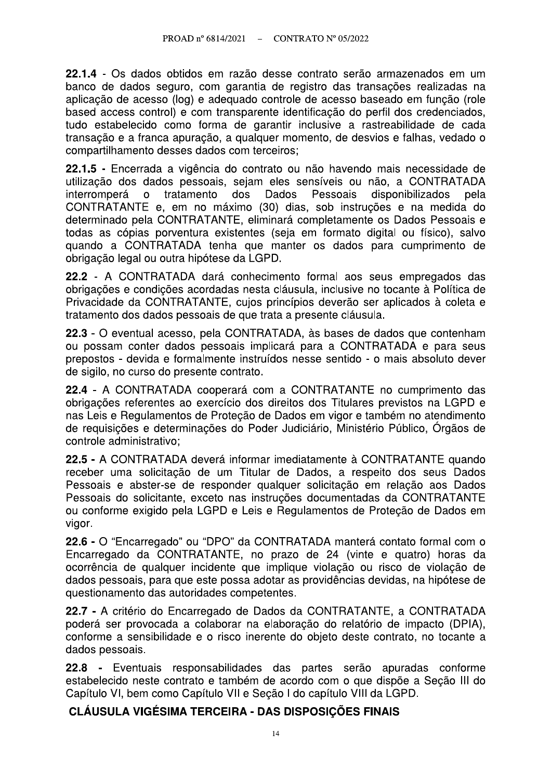22.1.4 - Os dados obtidos em razão desse contrato serão armazenados em um banco de dados seguro, com garantia de registro das transações realizadas na aplicação de acesso (log) e adequado controle de acesso baseado em função (role based access control) e com transparente identificação do perfil dos credenciados, tudo estabelecido como forma de garantir inclusive a rastreabilidade de cada transação e a franca apuração, a qualquer momento, de desvios e falhas, vedado o compartilhamento desses dados com terceiros;

22.1.5 - Encerrada a vigência do contrato ou não havendo mais necessidade de utilização dos dados pessoais, sejam eles sensíveis ou não, a CONTRATADA dos interromperá  $\mathsf{o}$ tratamento **Dados** Pessoais disponibilizados pela CONTRATANTE e, em no máximo (30) dias, sob instruções e na medida do determinado pela CONTRATANTE, eliminará completamente os Dados Pessoais e todas as cópias porventura existentes (seja em formato digital ou físico), salvo quando a CONTRATADA tenha que manter os dados para cumprimento de obrigação legal ou outra hipótese da LGPD.

22.2 - A CONTRATADA dará conhecimento formal aos seus empregados das obrigações e condições acordadas nesta cláusula, inclusive no tocante à Política de Privacidade da CONTRATANTE, cujos princípios deverão ser aplicados à coleta e tratamento dos dados pessoais de que trata a presente cláusula.

22.3 - O eventual acesso, pela CONTRATADA, às bases de dados que contenham ou possam conter dados pessoais implicará para a CONTRATADA e para seus prepostos - devida e formalmente instruídos nesse sentido - o mais absoluto dever de sigilo, no curso do presente contrato.

22.4 - A CONTRATADA cooperará com a CONTRATANTE no cumprimento das obrigações referentes ao exercício dos direitos dos Titulares previstos na LGPD e nas Leis e Regulamentos de Proteção de Dados em vigor e também no atendimento de requisições e determinações do Poder Judiciário, Ministério Público, Órgãos de controle administrativo:

22.5 - A CONTRATADA deverá informar imediatamente à CONTRATANTE quando receber uma solicitação de um Titular de Dados, a respeito dos seus Dados Pessoais e abster-se de responder qualquer solicitação em relação aos Dados Pessoais do solicitante, exceto nas instruções documentadas da CONTRATANTE ou conforme exigido pela LGPD e Leis e Regulamentos de Proteção de Dados em vigor.

22.6 - O "Encarregado" ou "DPO" da CONTRATADA manterá contato formal com o Encarregado da CONTRATANTE, no prazo de 24 (vinte e quatro) horas da ocorrência de qualquer incidente que implique violação ou risco de violação de dados pessoais, para que este possa adotar as providências devidas, na hipótese de questionamento das autoridades competentes.

22.7 - A critério do Encarregado de Dados da CONTRATANTE, a CONTRATADA poderá ser provocada a colaborar na elaboração do relatório de impacto (DPIA). conforme a sensibilidade e o risco inerente do objeto deste contrato, no tocante a dados pessoais.

22.8 - Eventuais responsabilidades das partes serão apuradas conforme estabelecido neste contrato e também de acordo com o que dispõe a Secão III do Capítulo VI, bem como Capítulo VII e Seção I do capítulo VIII da LGPD.

## CLÁUSULA VIGÉSIMA TERCEIRA - DAS DISPOSIÇÕES FINAIS